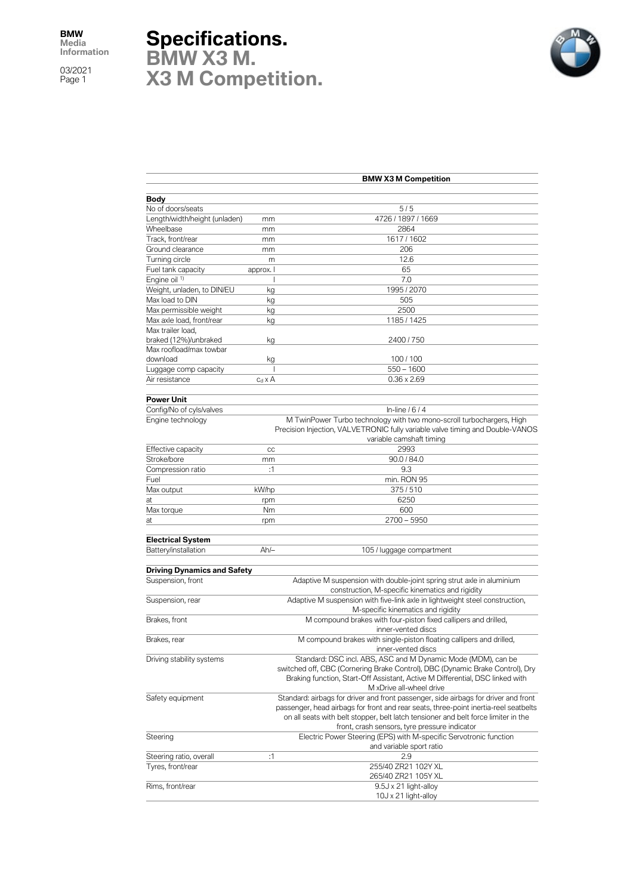03/2021 Page 1

## **Specifications.**

**BMW X3 M. X3 M Competition.**



|                                    |                                                                                                                            | <b>BMW X3 M Competition</b>                                                                                                                                                        |  |  |
|------------------------------------|----------------------------------------------------------------------------------------------------------------------------|------------------------------------------------------------------------------------------------------------------------------------------------------------------------------------|--|--|
|                                    |                                                                                                                            |                                                                                                                                                                                    |  |  |
| <b>Body</b>                        |                                                                                                                            |                                                                                                                                                                                    |  |  |
| No of doors/seats                  |                                                                                                                            | 5/5                                                                                                                                                                                |  |  |
| Length/width/height (unladen)      | mm                                                                                                                         | 4726 / 1897 / 1669                                                                                                                                                                 |  |  |
| Wheelbase                          | mm                                                                                                                         | 2864                                                                                                                                                                               |  |  |
| Track, front/rear                  | mm                                                                                                                         | 1617/1602                                                                                                                                                                          |  |  |
| Ground clearance                   | mm                                                                                                                         | 206                                                                                                                                                                                |  |  |
| Turning circle                     | m                                                                                                                          | 12.6                                                                                                                                                                               |  |  |
| Fuel tank capacity                 | approx. I                                                                                                                  | 65                                                                                                                                                                                 |  |  |
| Engine oil <sup>1)</sup>           | ı                                                                                                                          | 7.0                                                                                                                                                                                |  |  |
| Weight, unladen, to DIN/EU         | kg                                                                                                                         | 1995 / 2070                                                                                                                                                                        |  |  |
| Max load to DIN                    | kg                                                                                                                         | 505                                                                                                                                                                                |  |  |
| Max permissible weight             | kg                                                                                                                         | 2500                                                                                                                                                                               |  |  |
| Max axle load, front/rear          | kg                                                                                                                         | 1185 / 1425                                                                                                                                                                        |  |  |
| Max trailer load,                  |                                                                                                                            |                                                                                                                                                                                    |  |  |
| braked (12%)/unbraked              | kg                                                                                                                         | 2400 / 750                                                                                                                                                                         |  |  |
| Max roofload/max towbar            |                                                                                                                            |                                                                                                                                                                                    |  |  |
| download                           | kg                                                                                                                         | 100/100                                                                                                                                                                            |  |  |
| Luggage comp capacity              | 1                                                                                                                          | $550 - 1600$                                                                                                                                                                       |  |  |
| Air resistance                     | $c_d \times A$                                                                                                             | $0.36 \times 2.69$                                                                                                                                                                 |  |  |
|                                    |                                                                                                                            |                                                                                                                                                                                    |  |  |
| <b>Power Unit</b>                  |                                                                                                                            |                                                                                                                                                                                    |  |  |
| Config/No of cyls/valves           |                                                                                                                            | In-line $/6/4$                                                                                                                                                                     |  |  |
| Engine technology                  |                                                                                                                            | M TwinPower Turbo technology with two mono-scroll turbochargers, High<br>Precision Injection, VALVETRONIC fully variable valve timing and Double-VANOS<br>variable camshaft timing |  |  |
| Effective capacity                 | CC                                                                                                                         | 2993                                                                                                                                                                               |  |  |
| Stroke/bore                        | mm                                                                                                                         | 90.0 / 84.0                                                                                                                                                                        |  |  |
| Compression ratio                  | :1                                                                                                                         | 9.3                                                                                                                                                                                |  |  |
| Fuel                               |                                                                                                                            | min. RON 95                                                                                                                                                                        |  |  |
| Max output                         | kW/hp                                                                                                                      | 375/510                                                                                                                                                                            |  |  |
| at                                 | rpm                                                                                                                        | 6250                                                                                                                                                                               |  |  |
| Max torque                         | Nm                                                                                                                         | 600                                                                                                                                                                                |  |  |
| at                                 | rpm                                                                                                                        | $2700 - 5950$                                                                                                                                                                      |  |  |
|                                    |                                                                                                                            |                                                                                                                                                                                    |  |  |
| <b>Electrical System</b>           |                                                                                                                            |                                                                                                                                                                                    |  |  |
| <b>Battery/installation</b>        | Ah/-                                                                                                                       | 105 / luggage compartment                                                                                                                                                          |  |  |
| <b>Driving Dynamics and Safety</b> |                                                                                                                            |                                                                                                                                                                                    |  |  |
| Suspension, front                  |                                                                                                                            |                                                                                                                                                                                    |  |  |
|                                    | Adaptive M suspension with double-joint spring strut axle in aluminium<br>construction, M-specific kinematics and rigidity |                                                                                                                                                                                    |  |  |
| Suspension, rear                   | Adaptive M suspension with five-link axle in lightweight steel construction,<br>M-specific kinematics and rigidity         |                                                                                                                                                                                    |  |  |
| Brakes, front                      | M compound brakes with four-piston fixed callipers and drilled,<br>inner-vented discs                                      |                                                                                                                                                                                    |  |  |
| Brakes, rear                       | M compound brakes with single-piston floating callipers and drilled,<br>inner-vented discs                                 |                                                                                                                                                                                    |  |  |
| Driving stability systems          |                                                                                                                            | Standard: DSC incl. ABS, ASC and M Dynamic Mode (MDM), can be                                                                                                                      |  |  |
|                                    |                                                                                                                            | switched off, CBC (Cornering Brake Control), DBC (Dynamic Brake Control), Dry                                                                                                      |  |  |
|                                    |                                                                                                                            | Braking function, Start-Off Assistant, Active M Differential, DSC linked with                                                                                                      |  |  |
|                                    |                                                                                                                            | M xDrive all-wheel drive                                                                                                                                                           |  |  |
| Safety equipment                   |                                                                                                                            | Standard: airbags for driver and front passenger, side airbags for driver and front                                                                                                |  |  |
|                                    |                                                                                                                            | passenger, head airbags for front and rear seats, three-point inertia-reel seatbelts                                                                                               |  |  |
|                                    |                                                                                                                            | on all seats with belt stopper, belt latch tensioner and belt force limiter in the                                                                                                 |  |  |
|                                    |                                                                                                                            | front, crash sensors, tyre pressure indicator                                                                                                                                      |  |  |
| Steering                           |                                                                                                                            | Electric Power Steering (EPS) with M-specific Servotronic function                                                                                                                 |  |  |
|                                    |                                                                                                                            | and variable sport ratio                                                                                                                                                           |  |  |
| Steering ratio, overall            | :1                                                                                                                         | 2.9                                                                                                                                                                                |  |  |
| Tyres, front/rear                  |                                                                                                                            | 255/40 ZR21 102Y XL                                                                                                                                                                |  |  |
|                                    |                                                                                                                            | 265/40 ZR21 105Y XL                                                                                                                                                                |  |  |
| Rims, front/rear                   |                                                                                                                            | 9.5J x 21 light-alloy                                                                                                                                                              |  |  |
|                                    |                                                                                                                            | 10J x 21 light-alloy                                                                                                                                                               |  |  |